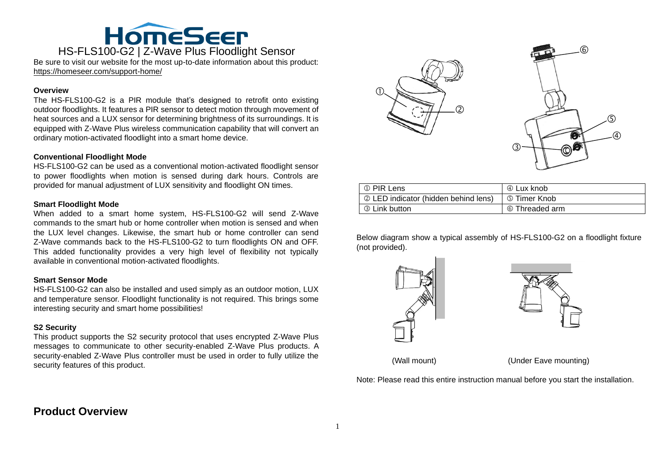

Be sure to visit our website for the most up-to-date information about this product: https://homeseer.com/support-home/

#### **Overview**

The HS-FLS100-G2 is a PIR module that's designed to retrofit onto existing outdoor floodlights. It features a PIR sensor to detect motion through movement of heat sources and a LUX sensor for determining brightness of its surroundings. It is equipped with Z-Wave Plus wireless communication capability that will convert an ordinary motion-activated floodlight into a smart home device.

#### **Conventional Floodlight Mode**

HS-FLS100-G2 can be used as a conventional motion-activated floodlight sensor to power floodlights when motion is sensed during dark hours. Controls are provided for manual adjustment of LUX sensitivity and floodlight ON times.

#### **Smart Floodlight Mode**

When added to a smart home system, HS-FLS100-G2 will send Z-Wave commands to the smart hub or home controller when motion is sensed and when the LUX level changes. Likewise, the smart hub or home controller can send Z-Wave commands back to the HS-FLS100-G2 to turn floodlights ON and OFF. This added functionality provides a very high level of flexibility not typically available in conventional motion-activated floodlights.

#### **Smart Sensor Mode**

HS-FLS100-G2 can also be installed and used simply as an outdoor motion, LUX and temperature sensor. Floodlight functionality is not required. This brings some interesting security and smart home possibilities!

#### **S2 Security**

This product supports the S2 security protocol that uses encrypted Z-Wave Plus messages to communicate to other security-enabled Z-Wave Plus products. A security-enabled Z-Wave Plus controller must be used in order to fully utilize the security features of this product.



| ① PIR Lens                           | 4 Lux knob          |
|--------------------------------------|---------------------|
| 2 LED indicator (hidden behind lens) | <b>5 Timer Knob</b> |
| <b>3 Link button</b>                 | © Threaded arm      |

Below diagram show a typical assembly of HS-FLS100-G2 on a floodlight fixture (not provided).





(Wall mount) (Under Eave mounting)

Note: Please read this entire instruction manual before you start the installation.

# **Product Overview**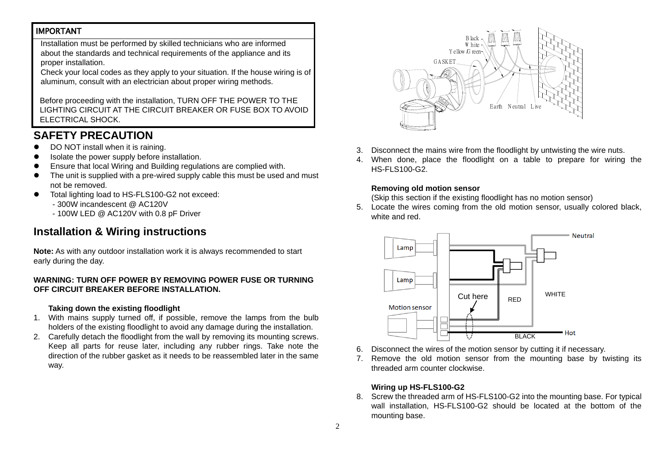## IMPORTANT

Installation must be performed by skilled technicians who are informed about the standards and technical requirements of the appliance and its proper installation.

Check your local codes as they apply to your situation. If the house wiring is of aluminum, consult with an electrician about proper wiring methods.

Before proceeding with the installation, TURN OFF THE POWER TO THE LIGHTING CIRCUIT AT THE CIRCUIT BREAKER OR FUSE BOX TO AVOID ELECTRICAL SHOCK.

# **SAFETY PRECAUTION**

- DO NOT install when it is raining.
- Isolate the power supply before installation.
- Ensure that local Wiring and Building regulations are complied with.
- The unit is supplied with a pre-wired supply cable this must be used and must not be removed.
- Total lighting load to HS-FLS100-G2 not exceed:
	- 300W incandescent @ AC120V
	- 100W LED @ AC120V with 0.8 pF Driver

# **Installation & Wiring instructions**

**Note:** As with any outdoor installation work it is always recommended to start early during the day.

#### **WARNING: TURN OFF POWER BY REMOVING POWER FUSE OR TURNING OFF CIRCUIT BREAKER BEFORE INSTALLATION.**

#### **Taking down the existing floodlight**

- 1. With mains supply turned off, if possible, remove the lamps from the bulb holders of the existing floodlight to avoid any damage during the installation.
- 2. Carefully detach the floodlight from the wall by removing its mounting screws. Keep all parts for reuse later, including any rubber rings. Take note the direction of the rubber gasket as it needs to be reassembled later in the same way.



- 3. Disconnect the mains wire from the floodlight by untwisting the wire nuts.
- 4. When done, place the floodlight on a table to prepare for wiring the HS-FLS100-G2.

#### **Removing old motion sensor**

(Skip this section if the existing floodlight has no motion sensor)

5. Locate the wires coming from the old motion sensor, usually colored black, white and red.



- 6. Disconnect the wires of the motion sensor by cutting it if necessary.
- 7. Remove the old motion sensor from the mounting base by twisting its threaded arm counter clockwise.

#### **Wiring up HS-FLS100-G2**

8. Screw the threaded arm of HS-FLS100-G2 into the mounting base. For typical wall installation, HS-FLS100-G2 should be located at the bottom of the mounting base.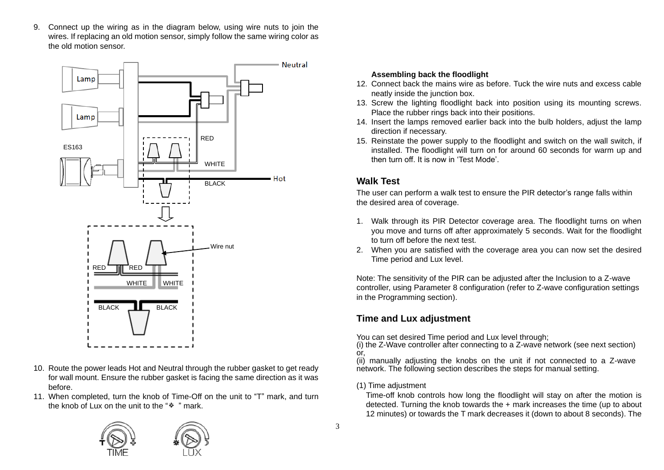9. Connect up the wiring as in the diagram below, using wire nuts to join the wires. If replacing an old motion sensor, simply follow the same wiring color as the old motion sensor.



- 10. Route the power leads Hot and Neutral through the rubber gasket to get ready for wall mount. Ensure the rubber gasket is facing the same direction as it was before.
- 11. When completed, turn the knob of Time-Off on the unit to "T" mark, and turn the knob of Lux on the unit to the " $*$ " mark.



#### **Assembling back the floodlight**

- 12. Connect back the mains wire as before. Tuck the wire nuts and excess cable neatly inside the junction box.
- 13. Screw the lighting floodlight back into position using its mounting screws. Place the rubber rings back into their positions.
- 14. Insert the lamps removed earlier back into the bulb holders, adjust the lamp direction if necessary.
- 15. Reinstate the power supply to the floodlight and switch on the wall switch, if installed. The floodlight will turn on for around 60 seconds for warm up and then turn off. It is now in 'Test Mode'.

# **Walk Test**

The user can perform a walk test to ensure the PIR detector's range falls within the desired area of coverage.

- 1. Walk through its PIR Detector coverage area. The floodlight turns on when you move and turns off after approximately 5 seconds. Wait for the floodlight to turn off before the next test.
- 2. When you are satisfied with the coverage area you can now set the desired Time period and Lux level.

Note: The sensitivity of the PIR can be adjusted after the Inclusion to a Z-wave controller, using Parameter 8 configuration (refer to Z-wave configuration settings in the Programming section).

# **Time and Lux adjustment**

You can set desired Time period and Lux level through;

(i) the Z-Wave controller after connecting to a Z-wave network (see next section) or,

(ii) manually adjusting the knobs on the unit if not connected to a Z-wave network. The following section describes the steps for manual setting.

### (1) Time adjustment

Time-off knob controls how long the floodlight will stay on after the motion is detected. Turning the knob towards the + mark increases the time (up to about 12 minutes) or towards the T mark decreases it (down to about 8 seconds). The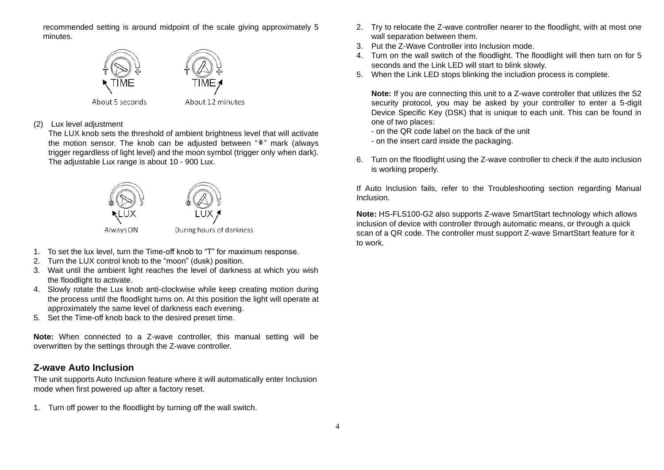recommended setting is around midpoint of the scale giving approximately 5 minutes.



#### (2) Lux level adjustment

The LUX knob sets the threshold of ambient brightness level that will activate the motion sensor. The knob can be adjusted between "\*" mark (always trigger regardless of light level) and the moon symbol (trigger only when dark). The adjustable Lux range is about 10 - 900 Lux.



- 1. To set the lux level, turn the Time-off knob to "T" for maximum response.
- 2. Turn the LUX control knob to the "moon" (dusk) position.
- 3. Wait until the ambient light reaches the level of darkness at which you wish the floodlight to activate.
- 4. Slowly rotate the Lux knob anti-clockwise while keep creating motion during the process until the floodlight turns on. At this position the light will operate at approximately the same level of darkness each evening.
- 5. Set the Time-off knob back to the desired preset time.

**Note:** When connected to a Z-wave controller, this manual setting will be overwritten by the settings through the Z-wave controller.

## **Z-wave Auto Inclusion**

The unit supports Auto Inclusion feature where it will automatically enter Inclusion mode when first powered up after a factory reset.

1. Turn off power to the floodlight by turning off the wall switch.

- 2. Try to relocate the Z-wave controller nearer to the floodlight, with at most one wall separation between them.
- 3. Put the Z-Wave Controller into Inclusion mode.
- 4. Turn on the wall switch of the floodlight. The floodlight will then turn on for 5 seconds and the Link LED will start to blink slowly.
- 5. When the Link LED stops blinking the includion process is complete.

**Note:** If you are connecting this unit to a Z-wave controller that utilizes the S2 security protocol, you may be asked by your controller to enter a 5-digit Device Specific Key (DSK) that is unique to each unit. This can be found in one of two places:

- on the QR code label on the back of the unit
- on the insert card inside the packaging.
- 6. Turn on the floodlight using the Z-wave controller to check if the auto inclusion is working properly.

If Auto Inclusion fails, refer to the Troubleshooting section regarding Manual Inclusion.

**Note:** HS-FLS100-G2 also supports Z-wave SmartStart technology which allows inclusion of device with controller through automatic means, or through a quick scan of a QR code. The controller must support Z-wave SmartStart feature for it to work.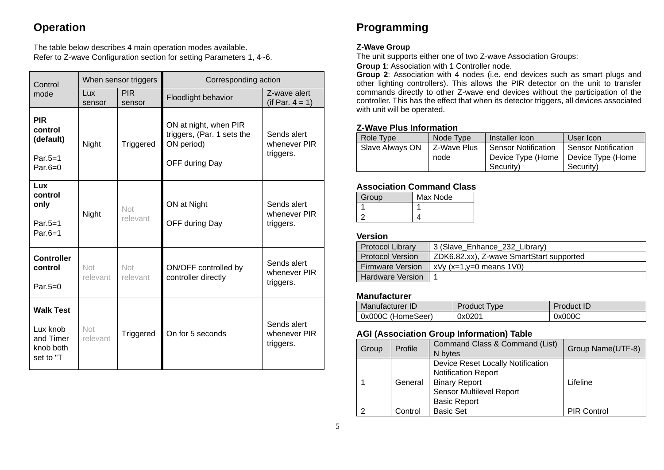# **Operation**

The table below describes 4 main operation modes available. Refer to Z-wave Configuration section for setting Parameters 1, 4~6.

| Control                                                                                             | When sensor triggers |                      | Corresponding action                                                                |                                          |  |
|-----------------------------------------------------------------------------------------------------|----------------------|----------------------|-------------------------------------------------------------------------------------|------------------------------------------|--|
| mode                                                                                                | Lux<br>sensor        | <b>PIR</b><br>sensor | Floodlight behavior                                                                 | Z-wave alert<br>(if Par. $4 = 1$ )       |  |
| <b>PIR</b><br>control<br>(default)<br>Par. $5=1$<br>Par. $6=0$                                      | Night                | Triggered            | ON at night, when PIR<br>triggers, (Par. 1 sets the<br>ON period)<br>OFF during Day | Sends alert<br>whenever PIR<br>triggers. |  |
| <b>Lux</b><br>control<br>only<br>Par. $5=1$<br>Par. $6=1$                                           | Night                | Not<br>relevant      | ON at Night<br>OFF during Day                                                       |                                          |  |
| <b>Controller</b><br>control<br>Par. $5=0$                                                          | Not<br>relevant      | Not<br>relevant      | ON/OFF controlled by<br>controller directly                                         | Sends alert<br>whenever PIR<br>triggers. |  |
| <b>Walk Test</b><br>Lux knob<br>Not<br>Triggered<br>and Timer<br>relevant<br>knob both<br>set to "T |                      | On for 5 seconds     | Sends alert<br>whenever PIR<br>triggers.                                            |                                          |  |

# **Programming**

#### **Z-Wave Group**

The unit supports either one of two Z-wave Association Groups:

**Group 1**: Association with 1 Controller node.

**Group 2**: Association with 4 nodes (i.e. end devices such as smart plugs and other lighting controllers). This allows the PIR detector on the unit to transfer commands directly to other Z-wave end devices without the participation of the controller. This has the effect that when its detector triggers, all devices associated with unit will be operated.

## **Z-Wave Plus Information**

| Role Type       | Node Type     | Installer Icon                        | User Icon           |
|-----------------|---------------|---------------------------------------|---------------------|
| Slave Always ON | l Z-Wave Plus | <b>Sensor Notification</b>            | Sensor Notification |
|                 | node          | Device Type (Home   Device Type (Home |                     |
|                 |               | Security)                             | Security)           |

## **Association Command Class**

| Group | Max Node |
|-------|----------|
|       |          |
|       |          |

#### **Version**

| <b>Protocol Library</b> | 3 (Slave_Enhance_232_Library)            |
|-------------------------|------------------------------------------|
| <b>Protocol Version</b> | ZDK6.82.xx), Z-wave SmartStart supported |
| <b>Firmware Version</b> | $x \vee y$ (x=1, y=0 means 1 $\vee$ 0)   |
| <b>Hardware Version</b> |                                          |

### **Manufacturer**

| Manufacturer ID   | <b>Product Type</b> | <b>Product ID</b> |
|-------------------|---------------------|-------------------|
| 0x000C (HomeSeer) | 0x0201              | 0x000C            |

## **AGI (Association Group Information) Table**

| Group | Profile | Command Class & Command (List)<br>N bytes                                                                                                  | Group Name(UTF-8)  |
|-------|---------|--------------------------------------------------------------------------------------------------------------------------------------------|--------------------|
|       | General | Device Reset Locally Notification<br><b>Notification Report</b><br><b>Binary Report</b><br>Sensor Multilevel Report<br><b>Basic Report</b> | Lifeline           |
| າ     | Control | <b>Basic Set</b>                                                                                                                           | <b>PIR Control</b> |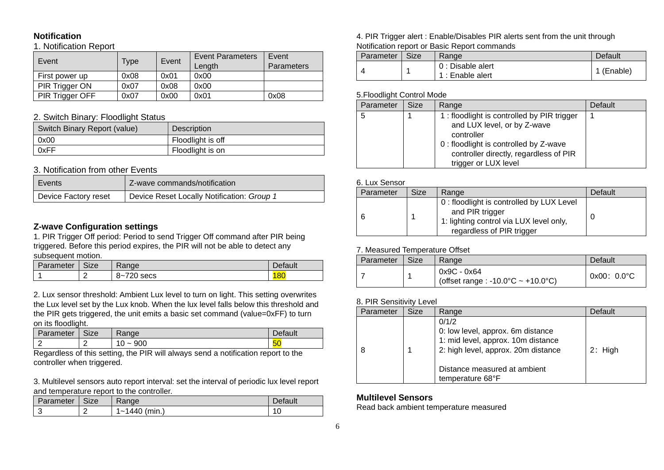# **Notification**

#### 1. Notification Report

| Event                  | Type | Event | <b>Event Parameters</b><br>Length | Event<br>Parameters |
|------------------------|------|-------|-----------------------------------|---------------------|
| First power up         | 0x08 | 0x01  | 0x00                              |                     |
| PIR Trigger ON         | 0x07 | 0x08  | 0x00                              |                     |
| <b>PIR Trigger OFF</b> | 0x07 | 0x00  | 0x01                              | 0x08                |

#### 2. Switch Binary: Floodlight Status

| Switch Binary Report (value) | Description       |
|------------------------------|-------------------|
| 0x00                         | Floodlight is off |
| 0xFF                         | Floodlight is on  |

#### 3. Notification from other Events

| Events               | Z-wave commands/notification               |
|----------------------|--------------------------------------------|
| Device Factory reset | Device Reset Locally Notification: Group 1 |

#### **Z-wave Configuration settings**

1. PIR Trigger Off period: Period to send Trigger Off command after PIR being triggered. Before this period expires, the PIR will not be able to detect any subsequent motion.

| Parameter | <b>.</b><br>-ize | ange <sup>®</sup>              | Default |
|-----------|------------------|--------------------------------|---------|
|           |                  | 700<br>$\Omega$<br>secs<br>n~. |         |

2. Lux sensor threshold: Ambient Lux level to turn on light. This setting overwrites the Lux level set by the Lux knob. When the lux level falls below this threshold and the PIR gets triggered, the unit emits a basic set command (value=0xFF) to turn on its floodlight.

| Parameter | <b>Size</b> | Range              | Default   |
|-----------|-------------|--------------------|-----------|
|           |             | 900<br>0<br>$\sim$ | <b>50</b> |

Regardless of this setting, the PIR will always send a notification report to the controller when triggered.

3. Multilevel sensors auto report interval: set the interval of periodic lux level report and temperature report to the controller.

| Parameter | <b>Size</b> | Range                                       | Default |
|-----------|-------------|---------------------------------------------|---------|
| ື         | c           | .440<br>'min.<br>$\tilde{\phantom{a}}$<br>᠇ | AC      |

#### 4. PIR Trigger alert : Enable/Disables PIR alerts sent from the unit through Notification report or Basic Report commands

| Parameter | Size | Range                                 | Default    |
|-----------|------|---------------------------------------|------------|
|           |      | 0 : Disable alert<br>1 : Enable alert | 1 (Enable) |

#### 5.Floodlight Control Mode

| Parameter | <b>Size</b> | Range                                      | Default |
|-----------|-------------|--------------------------------------------|---------|
| 5         |             | 1: floodlight is controlled by PIR trigger |         |
|           |             | and LUX level, or by Z-wave                |         |
|           |             | controller                                 |         |
|           |             | 0 : floodlight is controlled by Z-wave     |         |
|           |             | controller directly, regardless of PIR     |         |
|           |             | trigger or LUX level                       |         |

#### 6. Lux Sensor

| Parameter | <b>Size</b> | Range                                                                                                                                | Default |
|-----------|-------------|--------------------------------------------------------------------------------------------------------------------------------------|---------|
|           |             | 0 : floodlight is controlled by LUX Level<br>and PIR trigger<br>1: lighting control via LUX level only,<br>regardless of PIR trigger |         |

#### 7. Measured Temperature Offset

| Parameter | Size | Range                                               | Default              |
|-----------|------|-----------------------------------------------------|----------------------|
|           |      | 0x9C - 0x64<br>(offset range : -10.0 °C ~ +10.0 °C) | $0x00: 0.0^{\circ}C$ |

### 8. PIR Sensitivity Level

| Parameter | <b>Size</b> | Range                                                                                                                                                                       | Default   |
|-----------|-------------|-----------------------------------------------------------------------------------------------------------------------------------------------------------------------------|-----------|
| 8         |             | 0/1/2<br>0: low level, approx. 6m distance<br>1: mid level, approx. 10m distance<br>2: high level, approx. 20m distance<br>Distance measured at ambient<br>temperature 68°F | $2:$ High |

### **Multilevel Sensors**

Read back ambient temperature measured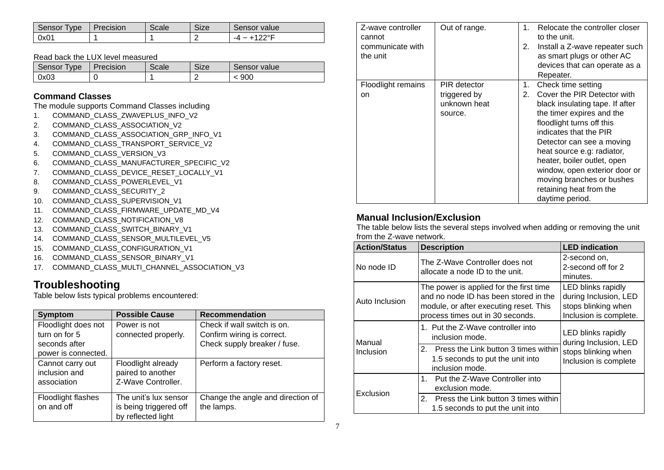| Sensor<br>Tvpe | Precision | scale | -ize | Sensor value        |
|----------------|-----------|-------|------|---------------------|
| 0x01           |           |       | -    | ⊐∘רר<br>$-4 \sim -$ |

#### Read back the LUX level measured

| Sensor<br><b>Type</b> | Precision | Scale | Size | Sensor value |
|-----------------------|-----------|-------|------|--------------|
| 0x03                  |           |       |      | 900          |

## **Command Classes**

The module supports Command Classes including

- 1. COMMAND\_CLASS\_ZWAVEPLUS\_INFO\_V2
- 2. COMMAND\_CLASS\_ASSOCIATION\_V2
- 3. COMMAND\_CLASS\_ASSOCIATION\_GRP\_INFO\_V1
- 4. COMMAND\_CLASS\_TRANSPORT\_SERVICE\_V2
- 5. COMMAND\_CLASS\_VERSION\_V3
- 6. COMMAND\_CLASS\_MANUFACTURER\_SPECIFIC\_V2
- 7. COMMAND\_CLASS\_DEVICE\_RESET\_LOCALLY\_V1
- 8. COMMAND\_CLASS\_POWERLEVEL\_V1
- 9. COMMAND\_CLASS\_SECURITY\_2
- 10. COMMAND\_CLASS\_SUPERVISION\_V1
- 11. COMMAND\_CLASS\_FIRMWARE\_UPDATE\_MD\_V4
- 12. COMMAND\_CLASS\_NOTIFICATION\_V8
- 13. COMMAND\_CLASS\_SWITCH\_BINARY\_V1
- 14. COMMAND CLASS SENSOR MULTILEVEL V5
- 15. COMMAND\_CLASS\_CONFIGURATION\_V1
- 16. COMMAND\_CLASS\_SENSOR\_BINARY\_V1
- 17. COMMAND CLASS MULTI CHANNEL ASSOCIATION V3

# **Troubleshooting**

Table below lists typical problems encountered:

| <b>Symptom</b>      | <b>Possible Cause</b>  | <b>Recommendation</b>             |
|---------------------|------------------------|-----------------------------------|
| Floodlight does not | Power is not           | Check if wall switch is on.       |
| turn on for 5       | connected properly.    | Confirm wiring is correct.        |
| seconds after       |                        | Check supply breaker / fuse.      |
| power is connected. |                        |                                   |
| Cannot carry out    | Floodlight already     | Perform a factory reset.          |
| inclusion and       | paired to another      |                                   |
| association         | Z-Wave Controller.     |                                   |
| Floodlight flashes  | The unit's lux sensor  | Change the angle and direction of |
| on and off          | is being triggered off | the lamps.                        |
|                     | by reflected light     |                                   |

| Z-wave controller<br>cannot | Out of range. | $1_{-}$ | Relocate the controller closer<br>to the unit. |
|-----------------------------|---------------|---------|------------------------------------------------|
| communicate with            |               | 2.      | Install a Z-wave repeater such                 |
| the unit                    |               |         | as smart plugs or other AC                     |
|                             |               |         | devices that can operate as a                  |
|                             |               |         | Repeater.                                      |
| Floodlight remains          | PIR detector  | 1.      | Check time setting                             |
| on.                         | triggered by  | 2.      | Cover the PIR Detector with                    |
|                             | unknown heat  |         | black insulating tape. If after                |
|                             | source.       |         | the timer expires and the                      |
|                             |               |         | floodlight turns off this                      |
|                             |               |         | indicates that the PIR                         |
|                             |               |         | Detector can see a moving                      |
|                             |               |         | heat source e.g: radiator,                     |
|                             |               |         | heater, boiler outlet, open                    |
|                             |               |         | window, open exterior door or                  |
|                             |               |         | moving branches or bushes                      |
|                             |               |         | retaining heat from the                        |
|                             |               |         | daytime period.                                |

# **Manual Inclusion/Exclusion**

The table below lists the several steps involved when adding or removing the unit from the Z-wave network.

| <b>Action/Status</b>       | <b>Description</b>                                                                                                                                             | <b>LED</b> indication                                                                        |  |
|----------------------------|----------------------------------------------------------------------------------------------------------------------------------------------------------------|----------------------------------------------------------------------------------------------|--|
| No node ID                 | The Z-Wave Controller does not<br>allocate a node ID to the unit.                                                                                              | 2-second on.<br>2-second off for 2<br>minutes.                                               |  |
| Auto Inclusion             | The power is applied for the first time<br>and no node ID has been stored in the<br>module, or after executing reset. This<br>process times out in 30 seconds. | LED blinks rapidly<br>during Inclusion, LED<br>stops blinking when<br>Inclusion is complete. |  |
| Manual<br><b>Inclusion</b> | 1. Put the Z-Wave controller into<br>inclusion mode.                                                                                                           | LED blinks rapidly<br>during Inclusion, LED<br>stops blinking when<br>Inclusion is complete  |  |
|                            | 2. Press the Link button 3 times within<br>1.5 seconds to put the unit into<br>inclusion mode.                                                                 |                                                                                              |  |
| Exclusion                  | 1. Put the Z-Wave Controller into<br>exclusion mode.                                                                                                           |                                                                                              |  |
|                            | 2 <sup>1</sup><br>Press the Link button 3 times within<br>1.5 seconds to put the unit into                                                                     |                                                                                              |  |